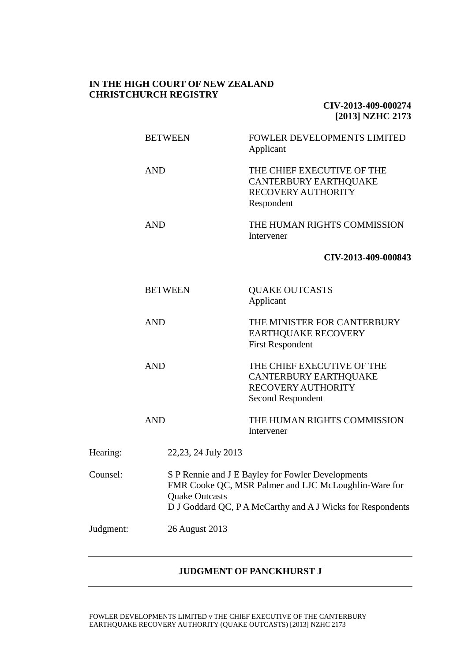## **IN THE HIGH COURT OF NEW ZEALAND CHRISTCHURCH REGISTRY**

**CIV-2013-409-000274 [2013] NZHC 2173**

|           | <b>BETWEEN</b>        | FOWLER DEVELOPMENTS LIMITED<br>Applicant                                                                                                                                |  |  |
|-----------|-----------------------|-------------------------------------------------------------------------------------------------------------------------------------------------------------------------|--|--|
|           | <b>AND</b>            | THE CHIEF EXECUTIVE OF THE<br><b>CANTERBURY EARTHQUAKE</b><br>RECOVERY AUTHORITY<br>Respondent                                                                          |  |  |
|           | <b>AND</b>            | THE HUMAN RIGHTS COMMISSION<br>Intervener                                                                                                                               |  |  |
|           |                       | CIV-2013-409-000843                                                                                                                                                     |  |  |
|           | <b>BETWEEN</b>        | <b>QUAKE OUTCASTS</b><br>Applicant                                                                                                                                      |  |  |
|           | <b>AND</b>            | THE MINISTER FOR CANTERBURY<br><b>EARTHQUAKE RECOVERY</b><br><b>First Respondent</b>                                                                                    |  |  |
|           | <b>AND</b>            | THE CHIEF EXECUTIVE OF THE<br><b>CANTERBURY EARTHQUAKE</b><br><b>RECOVERY AUTHORITY</b><br>Second Respondent                                                            |  |  |
|           | <b>AND</b>            | THE HUMAN RIGHTS COMMISSION<br>Intervener                                                                                                                               |  |  |
| Hearing:  | 22, 23, 24 July 2013  |                                                                                                                                                                         |  |  |
| Counsel:  | <b>Quake Outcasts</b> | S P Rennie and J E Bayley for Fowler Developments<br>FMR Cooke QC, MSR Palmer and LJC McLoughlin-Ware for<br>D J Goddard QC, P A McCarthy and A J Wicks for Respondents |  |  |
| Judgment: | 26 August 2013        |                                                                                                                                                                         |  |  |

# **JUDGMENT OF PANCKHURST J**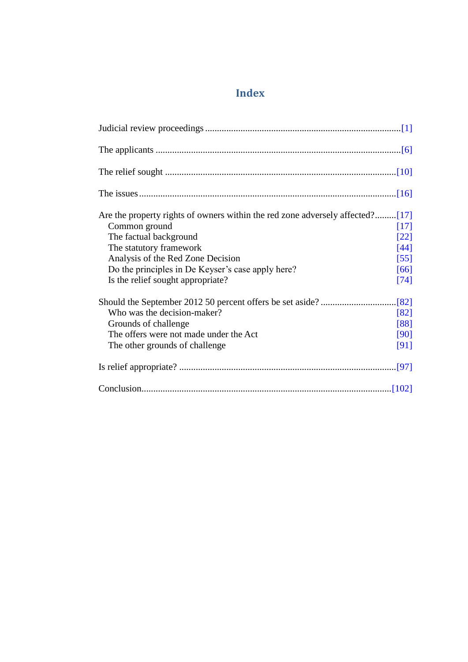# **Index**

| Are the property rights of owners within the red zone adversely affected?[17] |        |
|-------------------------------------------------------------------------------|--------|
| Common ground                                                                 | [17]   |
| The factual background                                                        | [22]   |
| The statutory framework                                                       | $[44]$ |
| Analysis of the Red Zone Decision                                             | $[55]$ |
| Do the principles in De Keyser's case apply here?                             | [66]   |
| Is the relief sought appropriate?                                             | $[74]$ |
|                                                                               |        |
| Who was the decision-maker?                                                   | [82]   |
| Grounds of challenge                                                          | [88]   |
| The offers were not made under the Act                                        | [90]   |
| The other grounds of challenge.                                               | [91]   |
|                                                                               |        |
|                                                                               |        |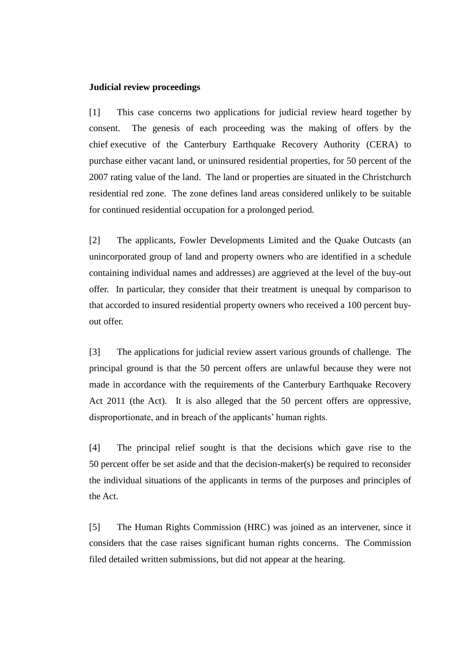#### <span id="page-2-0"></span>**Judicial review proceedings**

[1] This case concerns two applications for judicial review heard together by consent. The genesis of each proceeding was the making of offers by the chief executive of the Canterbury Earthquake Recovery Authority (CERA) to purchase either vacant land, or uninsured residential properties, for 50 percent of the 2007 rating value of the land. The land or properties are situated in the Christchurch residential red zone. The zone defines land areas considered unlikely to be suitable for continued residential occupation for a prolonged period.

[2] The applicants, Fowler Developments Limited and the Quake Outcasts (an unincorporated group of land and property owners who are identified in a schedule containing individual names and addresses) are aggrieved at the level of the buy-out offer. In particular, they consider that their treatment is unequal by comparison to that accorded to insured residential property owners who received a 100 percent buyout offer.

[3] The applications for judicial review assert various grounds of challenge. The principal ground is that the 50 percent offers are unlawful because they were not made in accordance with the requirements of the Canterbury Earthquake Recovery Act 2011 (the Act). It is also alleged that the 50 percent offers are oppressive, disproportionate, and in breach of the applicants' human rights.

[4] The principal relief sought is that the decisions which gave rise to the 50 percent offer be set aside and that the decision-maker(s) be required to reconsider the individual situations of the applicants in terms of the purposes and principles of the Act.

[5] The Human Rights Commission (HRC) was joined as an intervener, since it considers that the case raises significant human rights concerns. The Commission filed detailed written submissions, but did not appear at the hearing.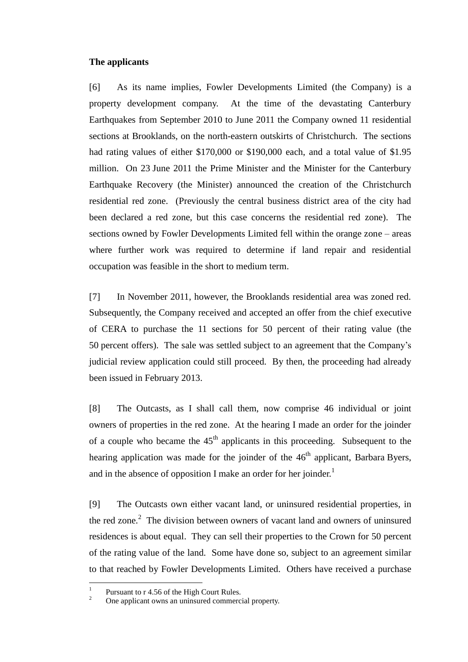#### <span id="page-3-0"></span>**The applicants**

[6] As its name implies, Fowler Developments Limited (the Company) is a property development company. At the time of the devastating Canterbury Earthquakes from September 2010 to June 2011 the Company owned 11 residential sections at Brooklands, on the north-eastern outskirts of Christchurch. The sections had rating values of either \$170,000 or \$190,000 each, and a total value of \$1.95 million. On 23 June 2011 the Prime Minister and the Minister for the Canterbury Earthquake Recovery (the Minister) announced the creation of the Christchurch residential red zone. (Previously the central business district area of the city had been declared a red zone, but this case concerns the residential red zone). The sections owned by Fowler Developments Limited fell within the orange zone – areas where further work was required to determine if land repair and residential occupation was feasible in the short to medium term.

[7] In November 2011, however, the Brooklands residential area was zoned red. Subsequently, the Company received and accepted an offer from the chief executive of CERA to purchase the 11 sections for 50 percent of their rating value (the 50 percent offers). The sale was settled subject to an agreement that the Company's judicial review application could still proceed. By then, the proceeding had already been issued in February 2013.

[8] The Outcasts, as I shall call them, now comprise 46 individual or joint owners of properties in the red zone. At the hearing I made an order for the joinder of a couple who became the  $45<sup>th</sup>$  applicants in this proceeding. Subsequent to the hearing application was made for the joinder of the 46<sup>th</sup> applicant, Barbara Byers, and in the absence of opposition I make an order for her joinder.<sup>1</sup>

[9] The Outcasts own either vacant land, or uninsured residential properties, in the red zone.<sup>2</sup> The division between owners of vacant land and owners of uninsured residences is about equal. They can sell their properties to the Crown for 50 percent of the rating value of the land. Some have done so, subject to an agreement similar to that reached by Fowler Developments Limited. Others have received a purchase

 $\frac{1}{1}$ Pursuant to r 4.56 of the High Court Rules.

One applicant owns an uninsured commercial property.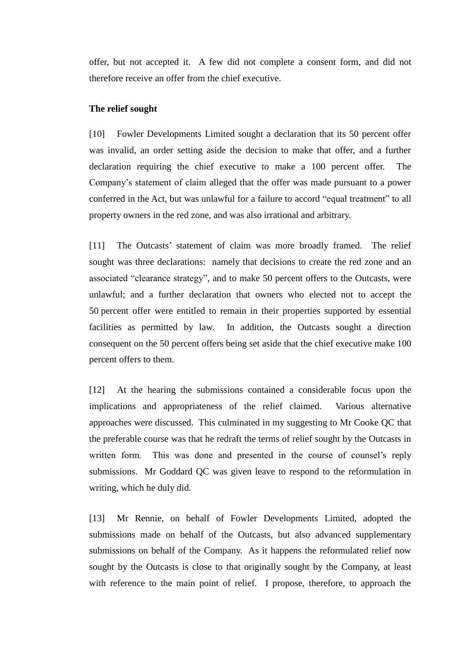offer, but not accepted it. A few did not complete a consent form, and did not therefore receive an offer from the chief executive.

## <span id="page-4-0"></span>**The relief sought**

[10] Fowler Developments Limited sought a declaration that its 50 percent offer was invalid, an order setting aside the decision to make that offer, and a further declaration requiring the chief executive to make a 100 percent offer. The Company's statement of claim alleged that the offer was made pursuant to a power conferred in the Act, but was unlawful for a failure to accord "equal treatment" to all property owners in the red zone, and was also irrational and arbitrary.

[11] The Outcasts' statement of claim was more broadly framed. The relief sought was three declarations: namely that decisions to create the red zone and an associated "clearance strategy", and to make 50 percent offers to the Outcasts, were unlawful; and a further declaration that owners who elected not to accept the 50 percent offer were entitled to remain in their properties supported by essential facilities as permitted by law. In addition, the Outcasts sought a direction consequent on the 50 percent offers being set aside that the chief executive make 100 percent offers to them.

[12] At the hearing the submissions contained a considerable focus upon the implications and appropriateness of the relief claimed. Various alternative approaches were discussed. This culminated in my suggesting to Mr Cooke QC that the preferable course was that he redraft the terms of relief sought by the Outcasts in written form. This was done and presented in the course of counsel's reply submissions. Mr Goddard QC was given leave to respond to the reformulation in writing, which he duly did.

[13] Mr Rennie, on behalf of Fowler Developments Limited, adopted the submissions made on behalf of the Outcasts, but also advanced supplementary submissions on behalf of the Company. As it happens the reformulated relief now sought by the Outcasts is close to that originally sought by the Company, at least with reference to the main point of relief. I propose, therefore, to approach the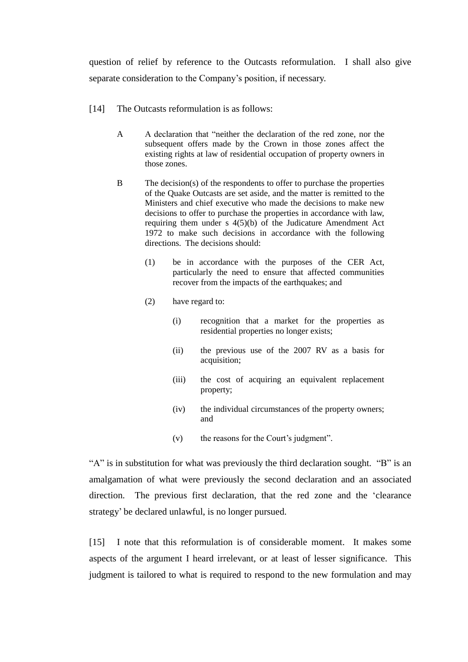question of relief by reference to the Outcasts reformulation. I shall also give separate consideration to the Company's position, if necessary.

- [14] The Outcasts reformulation is as follows:
	- A A declaration that "neither the declaration of the red zone, nor the subsequent offers made by the Crown in those zones affect the existing rights at law of residential occupation of property owners in those zones.
	- B The decision(s) of the respondents to offer to purchase the properties of the Quake Outcasts are set aside, and the matter is remitted to the Ministers and chief executive who made the decisions to make new decisions to offer to purchase the properties in accordance with law, requiring them under s 4(5)(b) of the Judicature Amendment Act 1972 to make such decisions in accordance with the following directions. The decisions should:
		- (1) be in accordance with the purposes of the CER Act, particularly the need to ensure that affected communities recover from the impacts of the earthquakes; and
		- (2) have regard to:
			- (i) recognition that a market for the properties as residential properties no longer exists;
			- (ii) the previous use of the 2007 RV as a basis for acquisition;
			- (iii) the cost of acquiring an equivalent replacement property;
			- (iv) the individual circumstances of the property owners; and
			- (v) the reasons for the Court's judgment".

"A" is in substitution for what was previously the third declaration sought. "B" is an amalgamation of what were previously the second declaration and an associated direction. The previous first declaration, that the red zone and the 'clearance strategy' be declared unlawful, is no longer pursued.

[15] I note that this reformulation is of considerable moment. It makes some aspects of the argument I heard irrelevant, or at least of lesser significance. This judgment is tailored to what is required to respond to the new formulation and may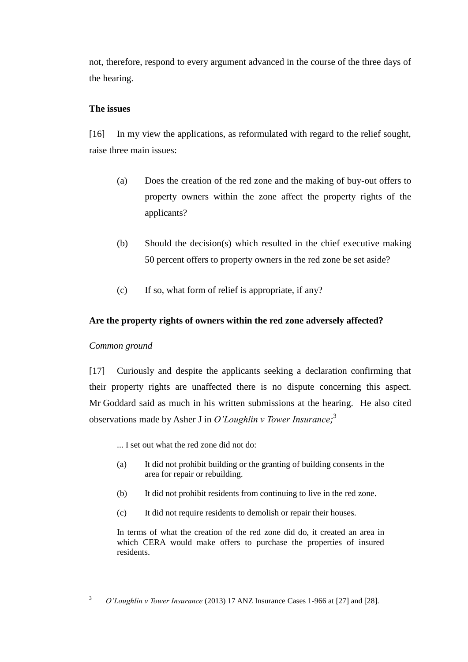not, therefore, respond to every argument advanced in the course of the three days of the hearing.

# <span id="page-6-0"></span>**The issues**

[16] In my view the applications, as reformulated with regard to the relief sought, raise three main issues:

- (a) Does the creation of the red zone and the making of buy-out offers to property owners within the zone affect the property rights of the applicants?
- (b) Should the decision(s) which resulted in the chief executive making 50 percent offers to property owners in the red zone be set aside?
- (c) If so, what form of relief is appropriate, if any?

# <span id="page-6-1"></span>**Are the property rights of owners within the red zone adversely affected?**

# <span id="page-6-2"></span>*Common ground*

[17] Curiously and despite the applicants seeking a declaration confirming that their property rights are unaffected there is no dispute concerning this aspect. Mr Goddard said as much in his written submissions at the hearing. He also cited observations made by Asher J in *O'Loughlin v Tower Insurance;* 3

... I set out what the red zone did not do:

- (a) It did not prohibit building or the granting of building consents in the area for repair or rebuilding.
- (b) It did not prohibit residents from continuing to live in the red zone.
- (c) It did not require residents to demolish or repair their houses.

In terms of what the creation of the red zone did do, it created an area in which CERA would make offers to purchase the properties of insured residents.

 $\overline{3}$ <sup>3</sup> *O'Loughlin v Tower Insurance* (2013) 17 ANZ Insurance Cases 1-966 at [27] and [28].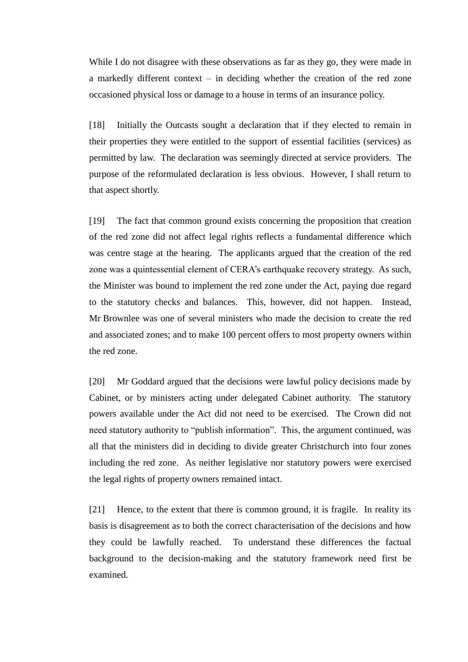While I do not disagree with these observations as far as they go, they were made in a markedly different context – in deciding whether the creation of the red zone occasioned physical loss or damage to a house in terms of an insurance policy.

[18] Initially the Outcasts sought a declaration that if they elected to remain in their properties they were entitled to the support of essential facilities (services) as permitted by law. The declaration was seemingly directed at service providers. The purpose of the reformulated declaration is less obvious. However, I shall return to that aspect shortly.

[19] The fact that common ground exists concerning the proposition that creation of the red zone did not affect legal rights reflects a fundamental difference which was centre stage at the hearing. The applicants argued that the creation of the red zone was a quintessential element of CERA's earthquake recovery strategy. As such, the Minister was bound to implement the red zone under the Act, paying due regard to the statutory checks and balances. This, however, did not happen. Instead, Mr Brownlee was one of several ministers who made the decision to create the red and associated zones; and to make 100 percent offers to most property owners within the red zone.

[20] Mr Goddard argued that the decisions were lawful policy decisions made by Cabinet, or by ministers acting under delegated Cabinet authority. The statutory powers available under the Act did not need to be exercised. The Crown did not need statutory authority to "publish information". This, the argument continued, was all that the ministers did in deciding to divide greater Christchurch into four zones including the red zone. As neither legislative nor statutory powers were exercised the legal rights of property owners remained intact.

[21] Hence, to the extent that there is common ground, it is fragile. In reality its basis is disagreement as to both the correct characterisation of the decisions and how they could be lawfully reached. To understand these differences the factual background to the decision-making and the statutory framework need first be examined.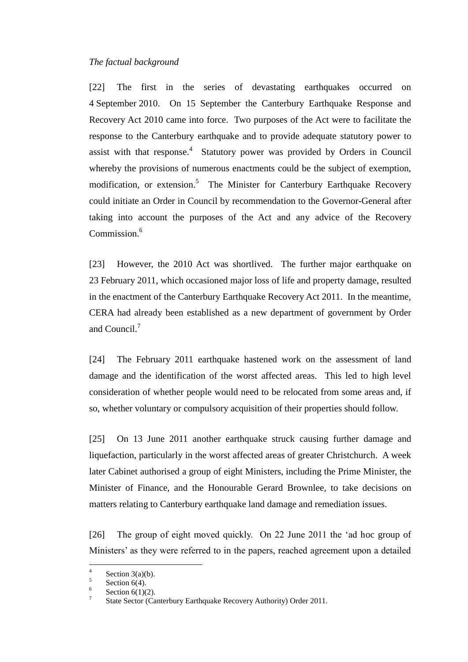#### <span id="page-8-0"></span>*The factual background*

[22] The first in the series of devastating earthquakes occurred on 4 September 2010. On 15 September the Canterbury Earthquake Response and Recovery Act 2010 came into force. Two purposes of the Act were to facilitate the response to the Canterbury earthquake and to provide adequate statutory power to assist with that response.<sup>4</sup> Statutory power was provided by Orders in Council whereby the provisions of numerous enactments could be the subject of exemption, modification, or extension.<sup>5</sup> The Minister for Canterbury Earthquake Recovery could initiate an Order in Council by recommendation to the Governor-General after taking into account the purposes of the Act and any advice of the Recovery Commission.<sup>6</sup>

[23] However, the 2010 Act was shortlived. The further major earthquake on 23 February 2011, which occasioned major loss of life and property damage, resulted in the enactment of the Canterbury Earthquake Recovery Act 2011. In the meantime, CERA had already been established as a new department of government by Order and Council.<sup>7</sup>

[24] The February 2011 earthquake hastened work on the assessment of land damage and the identification of the worst affected areas. This led to high level consideration of whether people would need to be relocated from some areas and, if so, whether voluntary or compulsory acquisition of their properties should follow.

[25] On 13 June 2011 another earthquake struck causing further damage and liquefaction, particularly in the worst affected areas of greater Christchurch. A week later Cabinet authorised a group of eight Ministers, including the Prime Minister, the Minister of Finance, and the Honourable Gerard Brownlee, to take decisions on matters relating to Canterbury earthquake land damage and remediation issues.

[26] The group of eight moved quickly. On 22 June 2011 the 'ad hoc group of Ministers' as they were referred to in the papers, reached agreement upon a detailed

 $\frac{1}{4}$ Section 3(a)(b). 5

Section  $6(4)$ . 6

Section  $6(1)(2)$ . 7

State Sector (Canterbury Earthquake Recovery Authority) Order 2011.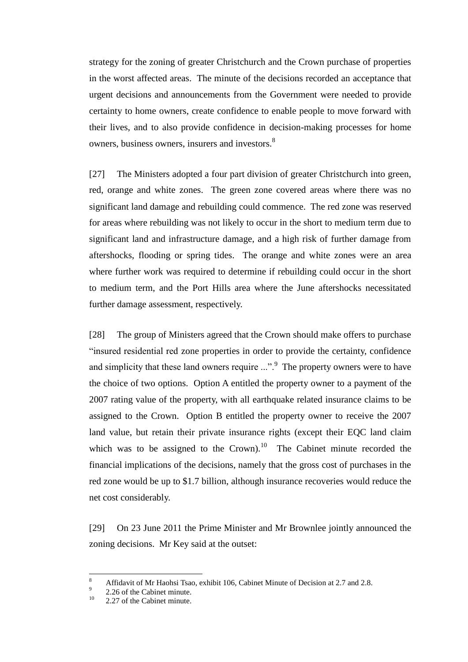strategy for the zoning of greater Christchurch and the Crown purchase of properties in the worst affected areas. The minute of the decisions recorded an acceptance that urgent decisions and announcements from the Government were needed to provide certainty to home owners, create confidence to enable people to move forward with their lives, and to also provide confidence in decision-making processes for home owners, business owners, insurers and investors.<sup>8</sup>

[27] The Ministers adopted a four part division of greater Christchurch into green, red, orange and white zones. The green zone covered areas where there was no significant land damage and rebuilding could commence. The red zone was reserved for areas where rebuilding was not likely to occur in the short to medium term due to significant land and infrastructure damage, and a high risk of further damage from aftershocks, flooding or spring tides. The orange and white zones were an area where further work was required to determine if rebuilding could occur in the short to medium term, and the Port Hills area where the June aftershocks necessitated further damage assessment, respectively.

[28] The group of Ministers agreed that the Crown should make offers to purchase "insured residential red zone properties in order to provide the certainty, confidence and simplicity that these land owners require  $\ldots$ ".<sup>9</sup> The property owners were to have the choice of two options. Option A entitled the property owner to a payment of the 2007 rating value of the property, with all earthquake related insurance claims to be assigned to the Crown. Option B entitled the property owner to receive the 2007 land value, but retain their private insurance rights (except their EQC land claim which was to be assigned to the Crown).<sup>10</sup> The Cabinet minute recorded the financial implications of the decisions, namely that the gross cost of purchases in the red zone would be up to \$1.7 billion, although insurance recoveries would reduce the net cost considerably.

[29] On 23 June 2011 the Prime Minister and Mr Brownlee jointly announced the zoning decisions. Mr Key said at the outset:

 $\overline{a}$ 

<sup>8</sup> Affidavit of Mr Haohsi Tsao, exhibit 106, Cabinet Minute of Decision at 2.7 and 2.8. 9

<sup>2.26</sup> of the Cabinet minute.

 $10 \qquad 2.27$  of the Cabinet minute.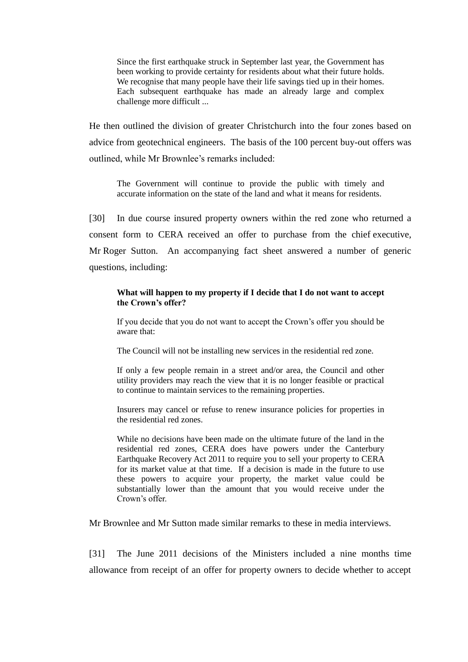Since the first earthquake struck in September last year, the Government has been working to provide certainty for residents about what their future holds. We recognise that many people have their life savings tied up in their homes. Each subsequent earthquake has made an already large and complex challenge more difficult ...

He then outlined the division of greater Christchurch into the four zones based on advice from geotechnical engineers. The basis of the 100 percent buy-out offers was outlined, while Mr Brownlee's remarks included:

The Government will continue to provide the public with timely and accurate information on the state of the land and what it means for residents.

[30] In due course insured property owners within the red zone who returned a consent form to CERA received an offer to purchase from the chief executive, Mr Roger Sutton. An accompanying fact sheet answered a number of generic questions, including:

#### **What will happen to my property if I decide that I do not want to accept the Crown's offer?**

If you decide that you do not want to accept the Crown's offer you should be aware that:

The Council will not be installing new services in the residential red zone.

If only a few people remain in a street and/or area, the Council and other utility providers may reach the view that it is no longer feasible or practical to continue to maintain services to the remaining properties.

Insurers may cancel or refuse to renew insurance policies for properties in the residential red zones.

While no decisions have been made on the ultimate future of the land in the residential red zones, CERA does have powers under the Canterbury Earthquake Recovery Act 2011 to require you to sell your property to CERA for its market value at that time. If a decision is made in the future to use these powers to acquire your property, the market value could be substantially lower than the amount that you would receive under the Crown's offer.

Mr Brownlee and Mr Sutton made similar remarks to these in media interviews.

[31] The June 2011 decisions of the Ministers included a nine months time allowance from receipt of an offer for property owners to decide whether to accept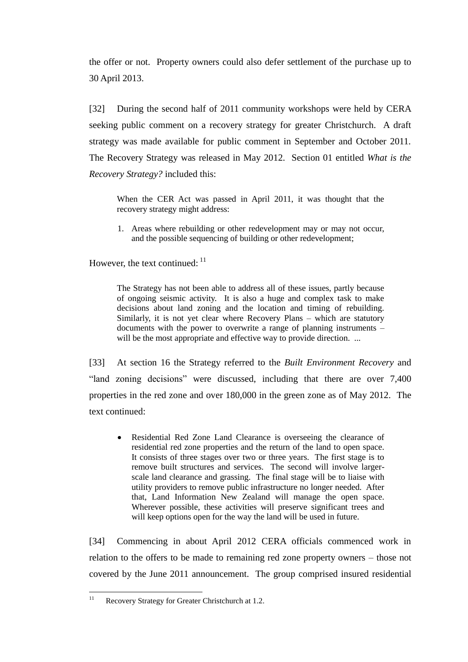the offer or not. Property owners could also defer settlement of the purchase up to 30 April 2013.

[32] During the second half of 2011 community workshops were held by CERA seeking public comment on a recovery strategy for greater Christchurch. A draft strategy was made available for public comment in September and October 2011. The Recovery Strategy was released in May 2012. Section 01 entitled *What is the Recovery Strategy?* included this:

When the CER Act was passed in April 2011, it was thought that the recovery strategy might address:

1. Areas where rebuilding or other redevelopment may or may not occur, and the possible sequencing of building or other redevelopment;

However, the text continued:  $11$ 

The Strategy has not been able to address all of these issues, partly because of ongoing seismic activity. It is also a huge and complex task to make decisions about land zoning and the location and timing of rebuilding. Similarly, it is not yet clear where Recovery Plans – which are statutory documents with the power to overwrite a range of planning instruments – will be the most appropriate and effective way to provide direction. ...

[33] At section 16 the Strategy referred to the *Built Environment Recovery* and "land zoning decisions" were discussed, including that there are over 7,400 properties in the red zone and over 180,000 in the green zone as of May 2012. The text continued:

Residential Red Zone Land Clearance is overseeing the clearance of residential red zone properties and the return of the land to open space. It consists of three stages over two or three years. The first stage is to remove built structures and services. The second will involve largerscale land clearance and grassing. The final stage will be to liaise with utility providers to remove public infrastructure no longer needed. After that, Land Information New Zealand will manage the open space. Wherever possible, these activities will preserve significant trees and will keep options open for the way the land will be used in future.

[34] Commencing in about April 2012 CERA officials commenced work in relation to the offers to be made to remaining red zone property owners – those not covered by the June 2011 announcement. The group comprised insured residential

 $11$ Recovery Strategy for Greater Christchurch at 1.2.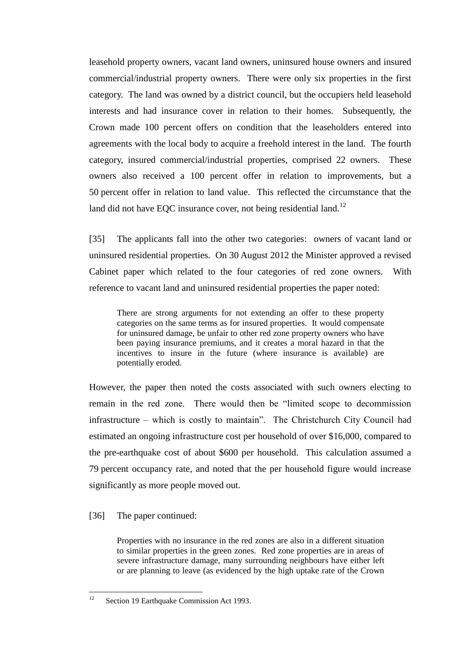leasehold property owners, vacant land owners, uninsured house owners and insured commercial/industrial property owners. There were only six properties in the first category. The land was owned by a district council, but the occupiers held leasehold interests and had insurance cover in relation to their homes. Subsequently, the Crown made 100 percent offers on condition that the leaseholders entered into agreements with the local body to acquire a freehold interest in the land. The fourth category, insured commercial/industrial properties, comprised 22 owners. These owners also received a 100 percent offer in relation to improvements, but a 50 percent offer in relation to land value. This reflected the circumstance that the land did not have EQC insurance cover, not being residential land.<sup>12</sup>

[35] The applicants fall into the other two categories: owners of vacant land or uninsured residential properties. On 30 August 2012 the Minister approved a revised Cabinet paper which related to the four categories of red zone owners. With reference to vacant land and uninsured residential properties the paper noted:

There are strong arguments for not extending an offer to these property categories on the same terms as for insured properties. It would compensate for uninsured damage, be unfair to other red zone property owners who have been paying insurance premiums, and it creates a moral hazard in that the incentives to insure in the future (where insurance is available) are potentially eroded.

However, the paper then noted the costs associated with such owners electing to remain in the red zone. There would then be "limited scope to decommission infrastructure – which is costly to maintain". The Christchurch City Council had estimated an ongoing infrastructure cost per household of over \$16,000, compared to the pre-earthquake cost of about \$600 per household. This calculation assumed a 79 percent occupancy rate, and noted that the per household figure would increase significantly as more people moved out.

## [36] The paper continued:

Properties with no insurance in the red zones are also in a different situation to similar properties in the green zones. Red zone properties are in areas of severe infrastructure damage, many surrounding neighbours have either left or are planning to leave (as evidenced by the high uptake rate of the Crown

 $12$ Section 19 Earthquake Commission Act 1993.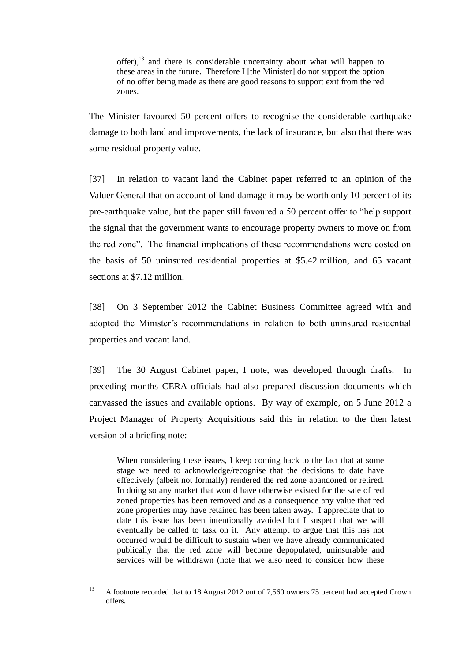offer), $^{13}$  and there is considerable uncertainty about what will happen to these areas in the future. Therefore I [the Minister] do not support the option of no offer being made as there are good reasons to support exit from the red zones.

The Minister favoured 50 percent offers to recognise the considerable earthquake damage to both land and improvements, the lack of insurance, but also that there was some residual property value.

[37] In relation to vacant land the Cabinet paper referred to an opinion of the Valuer General that on account of land damage it may be worth only 10 percent of its pre-earthquake value, but the paper still favoured a 50 percent offer to "help support the signal that the government wants to encourage property owners to move on from the red zone". The financial implications of these recommendations were costed on the basis of 50 uninsured residential properties at \$5.42 million, and 65 vacant sections at \$7.12 million.

[38] On 3 September 2012 the Cabinet Business Committee agreed with and adopted the Minister's recommendations in relation to both uninsured residential properties and vacant land.

[39] The 30 August Cabinet paper, I note, was developed through drafts. In preceding months CERA officials had also prepared discussion documents which canvassed the issues and available options. By way of example, on 5 June 2012 a Project Manager of Property Acquisitions said this in relation to the then latest version of a briefing note:

When considering these issues, I keep coming back to the fact that at some stage we need to acknowledge/recognise that the decisions to date have effectively (albeit not formally) rendered the red zone abandoned or retired. In doing so any market that would have otherwise existed for the sale of red zoned properties has been removed and as a consequence any value that red zone properties may have retained has been taken away. I appreciate that to date this issue has been intentionally avoided but I suspect that we will eventually be called to task on it. Any attempt to argue that this has not occurred would be difficult to sustain when we have already communicated publically that the red zone will become depopulated, uninsurable and services will be withdrawn (note that we also need to consider how these

 $13$ <sup>13</sup> A footnote recorded that to 18 August 2012 out of 7,560 owners 75 percent had accepted Crown offers.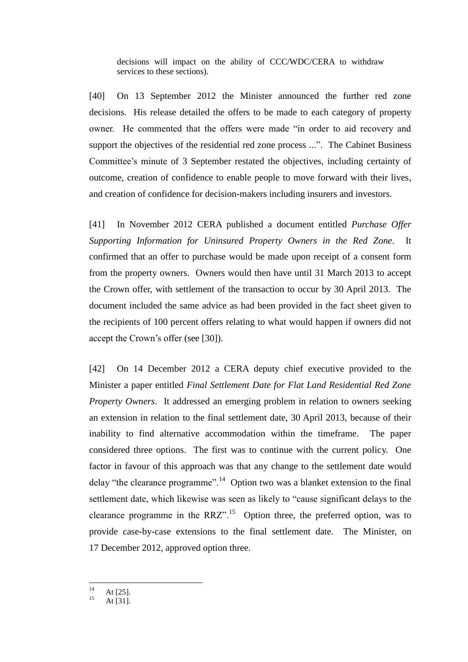decisions will impact on the ability of CCC/WDC/CERA to withdraw services to these sections).

[40] On 13 September 2012 the Minister announced the further red zone decisions. His release detailed the offers to be made to each category of property owner. He commented that the offers were made "in order to aid recovery and support the objectives of the residential red zone process ...". The Cabinet Business Committee's minute of 3 September restated the objectives, including certainty of outcome, creation of confidence to enable people to move forward with their lives, and creation of confidence for decision-makers including insurers and investors.

[41] In November 2012 CERA published a document entitled *Purchase Offer Supporting Information for Uninsured Property Owners in the Red Zone*. It confirmed that an offer to purchase would be made upon receipt of a consent form from the property owners. Owners would then have until 31 March 2013 to accept the Crown offer, with settlement of the transaction to occur by 30 April 2013. The document included the same advice as had been provided in the fact sheet given to the recipients of 100 percent offers relating to what would happen if owners did not accept the Crown's offer (see [30]).

[42] On 14 December 2012 a CERA deputy chief executive provided to the Minister a paper entitled *Final Settlement Date for Flat Land Residential Red Zone Property Owners*. It addressed an emerging problem in relation to owners seeking an extension in relation to the final settlement date, 30 April 2013, because of their inability to find alternative accommodation within the timeframe. The paper considered three options. The first was to continue with the current policy. One factor in favour of this approach was that any change to the settlement date would delay "the clearance programme".<sup>14</sup> Option two was a blanket extension to the final settlement date, which likewise was seen as likely to "cause significant delays to the clearance programme in the RRZ".<sup>15</sup> Option three, the preferred option, was to provide case-by-case extensions to the final settlement date. The Minister, on 17 December 2012, approved option three.

 $14$ At  $[25]$ .

At  $[31]$ .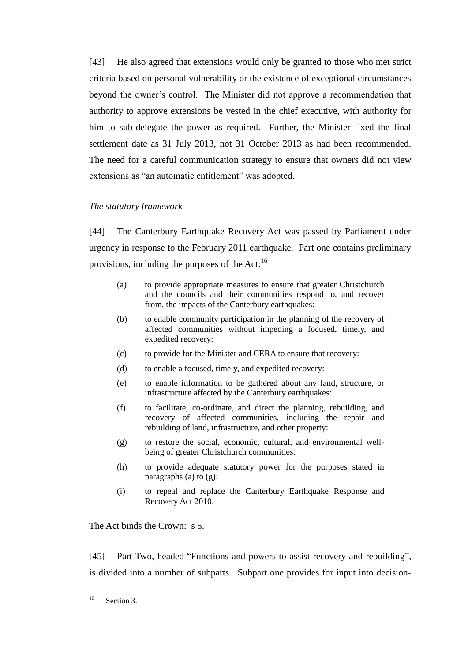[43] He also agreed that extensions would only be granted to those who met strict criteria based on personal vulnerability or the existence of exceptional circumstances beyond the owner's control. The Minister did not approve a recommendation that authority to approve extensions be vested in the chief executive, with authority for him to sub-delegate the power as required. Further, the Minister fixed the final settlement date as 31 July 2013, not 31 October 2013 as had been recommended. The need for a careful communication strategy to ensure that owners did not view extensions as "an automatic entitlement" was adopted.

## <span id="page-15-0"></span>*The statutory framework*

[44] The Canterbury Earthquake Recovery Act was passed by Parliament under urgency in response to the February 2011 earthquake. Part one contains preliminary provisions, including the purposes of the Act:<sup>16</sup>

- (a) to provide appropriate measures to ensure that greater Christchurch and the councils and their communities respond to, and recover from, the impacts of the Canterbury earthquakes:
- (b) to enable community participation in the planning of the recovery of affected communities without impeding a focused, timely, and expedited recovery:
- (c) to provide for the Minister and CERA to ensure that recovery:
- (d) to enable a focused, timely, and expedited recovery:
- (e) to enable information to be gathered about any land, structure, or infrastructure affected by the Canterbury earthquakes:
- (f) to facilitate, co-ordinate, and direct the planning, rebuilding, and recovery of affected communities, including the repair and rebuilding of land, infrastructure, and other property:
- (g) to restore the social, economic, cultural, and environmental wellbeing of greater Christchurch communities:
- (h) to provide adequate statutory power for the purposes stated in paragraphs (a) to (g):
- (i) to repeal and replace the Canterbury Earthquake Response and Recovery Act 2010.

The Act binds the Crown: s 5.

[45] Part Two, headed "Functions and powers to assist recovery and rebuilding", is divided into a number of subparts. Subpart one provides for input into decision-

 $16$ Section 3.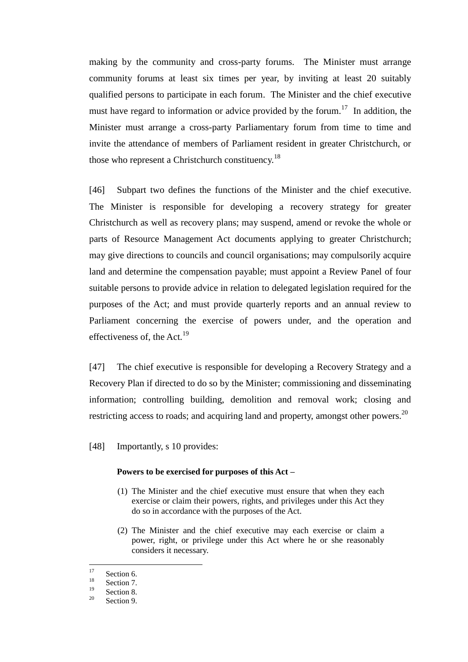making by the community and cross-party forums. The Minister must arrange community forums at least six times per year, by inviting at least 20 suitably qualified persons to participate in each forum. The Minister and the chief executive must have regard to information or advice provided by the forum.<sup>17</sup> In addition, the Minister must arrange a cross-party Parliamentary forum from time to time and invite the attendance of members of Parliament resident in greater Christchurch, or those who represent a Christchurch constituency.<sup>18</sup>

[46] Subpart two defines the functions of the Minister and the chief executive. The Minister is responsible for developing a recovery strategy for greater Christchurch as well as recovery plans; may suspend, amend or revoke the whole or parts of Resource Management Act documents applying to greater Christchurch; may give directions to councils and council organisations; may compulsorily acquire land and determine the compensation payable; must appoint a Review Panel of four suitable persons to provide advice in relation to delegated legislation required for the purposes of the Act; and must provide quarterly reports and an annual review to Parliament concerning the exercise of powers under, and the operation and effectiveness of, the Act.<sup>19</sup>

[47] The chief executive is responsible for developing a Recovery Strategy and a Recovery Plan if directed to do so by the Minister; commissioning and disseminating information; controlling building, demolition and removal work; closing and restricting access to roads; and acquiring land and property, amongst other powers. $^{20}$ 

[48] Importantly, s 10 provides:

#### **Powers to be exercised for purposes of this Act –**

- (1) The Minister and the chief executive must ensure that when they each exercise or claim their powers, rights, and privileges under this Act they do so in accordance with the purposes of the Act.
- (2) The Minister and the chief executive may each exercise or claim a power, right, or privilege under this Act where he or she reasonably considers it necessary.

 $17\,$  $\frac{17}{18}$  Section 6.

 $\frac{18}{19}$  Section 7.

 $\frac{19}{20}$  Section 8.

Section 9.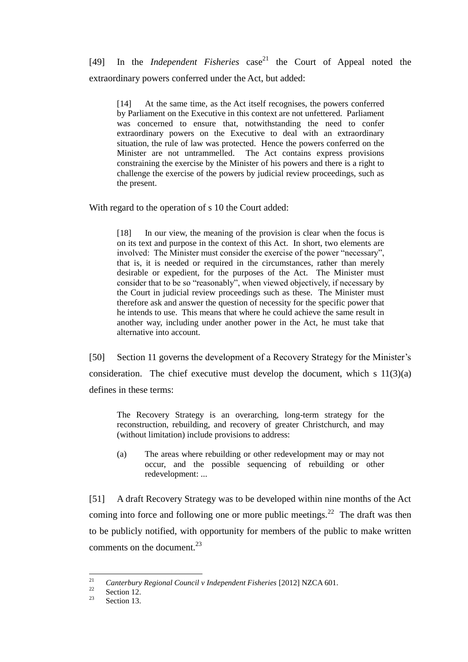[49] In the *Independent Fisheries* case <sup>21</sup> the Court of Appeal noted the extraordinary powers conferred under the Act, but added:

[14] At the same time, as the Act itself recognises, the powers conferred by Parliament on the Executive in this context are not unfettered. Parliament was concerned to ensure that, notwithstanding the need to confer extraordinary powers on the Executive to deal with an extraordinary situation, the rule of law was protected. Hence the powers conferred on the Minister are not untrammelled. The Act contains express provisions constraining the exercise by the Minister of his powers and there is a right to challenge the exercise of the powers by judicial review proceedings, such as the present.

With regard to the operation of s 10 the Court added:

[18] In our view, the meaning of the provision is clear when the focus is on its text and purpose in the context of this Act. In short, two elements are involved: The Minister must consider the exercise of the power "necessary", that is, it is needed or required in the circumstances, rather than merely desirable or expedient, for the purposes of the Act. The Minister must consider that to be so "reasonably", when viewed objectively, if necessary by the Court in judicial review proceedings such as these. The Minister must therefore ask and answer the question of necessity for the specific power that he intends to use. This means that where he could achieve the same result in another way, including under another power in the Act, he must take that alternative into account.

[50] Section 11 governs the development of a Recovery Strategy for the Minister's consideration. The chief executive must develop the document, which s  $11(3)(a)$ defines in these terms:

The Recovery Strategy is an overarching, long-term strategy for the reconstruction, rebuilding, and recovery of greater Christchurch, and may (without limitation) include provisions to address:

(a) The areas where rebuilding or other redevelopment may or may not occur, and the possible sequencing of rebuilding or other redevelopment: ...

[51] A draft Recovery Strategy was to be developed within nine months of the Act coming into force and following one or more public meetings.<sup>22</sup> The draft was then to be publicly notified, with opportunity for members of the public to make written comments on the document.<sup>23</sup>

 $21\,$ <sup>21</sup> *Canterbury Regional Council v Independent Fisheries* [2012] NZCA 601.

 $\frac{22}{23}$  Section 12.

Section 13.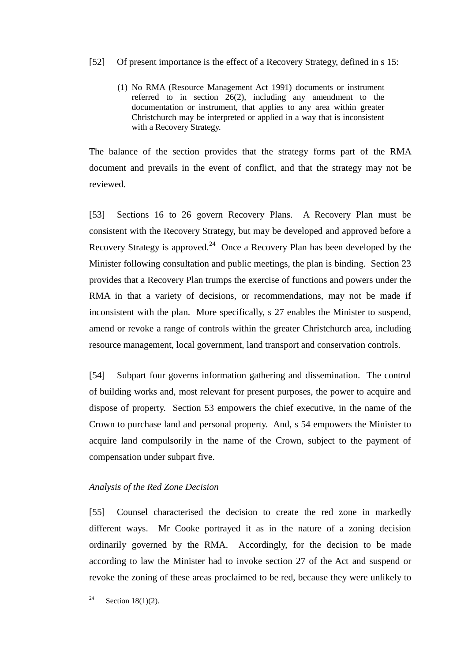## [52] Of present importance is the effect of a Recovery Strategy, defined in s 15:

(1) No RMA (Resource Management Act 1991) documents or instrument referred to in section 26(2), including any amendment to the documentation or instrument, that applies to any area within greater Christchurch may be interpreted or applied in a way that is inconsistent with a Recovery Strategy.

The balance of the section provides that the strategy forms part of the RMA document and prevails in the event of conflict, and that the strategy may not be reviewed.

[53] Sections 16 to 26 govern Recovery Plans. A Recovery Plan must be consistent with the Recovery Strategy, but may be developed and approved before a Recovery Strategy is approved.<sup>24</sup> Once a Recovery Plan has been developed by the Minister following consultation and public meetings, the plan is binding. Section 23 provides that a Recovery Plan trumps the exercise of functions and powers under the RMA in that a variety of decisions, or recommendations, may not be made if inconsistent with the plan. More specifically, s 27 enables the Minister to suspend, amend or revoke a range of controls within the greater Christchurch area, including resource management, local government, land transport and conservation controls.

[54] Subpart four governs information gathering and dissemination. The control of building works and, most relevant for present purposes, the power to acquire and dispose of property. Section 53 empowers the chief executive, in the name of the Crown to purchase land and personal property. And, s 54 empowers the Minister to acquire land compulsorily in the name of the Crown, subject to the payment of compensation under subpart five.

## <span id="page-18-0"></span>*Analysis of the Red Zone Decision*

[55] Counsel characterised the decision to create the red zone in markedly different ways. Mr Cooke portrayed it as in the nature of a zoning decision ordinarily governed by the RMA. Accordingly, for the decision to be made according to law the Minister had to invoke section 27 of the Act and suspend or revoke the zoning of these areas proclaimed to be red, because they were unlikely to

 $24$ Section  $18(1)(2)$ .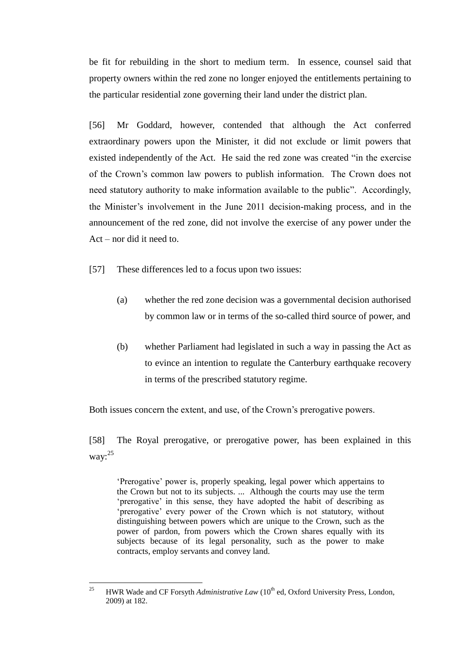be fit for rebuilding in the short to medium term. In essence, counsel said that property owners within the red zone no longer enjoyed the entitlements pertaining to the particular residential zone governing their land under the district plan.

[56] Mr Goddard, however, contended that although the Act conferred extraordinary powers upon the Minister, it did not exclude or limit powers that existed independently of the Act. He said the red zone was created "in the exercise of the Crown's common law powers to publish information. The Crown does not need statutory authority to make information available to the public". Accordingly, the Minister's involvement in the June 2011 decision-making process, and in the announcement of the red zone, did not involve the exercise of any power under the Act – nor did it need to.

[57] These differences led to a focus upon two issues:

- (a) whether the red zone decision was a governmental decision authorised by common law or in terms of the so-called third source of power, and
- (b) whether Parliament had legislated in such a way in passing the Act as to evince an intention to regulate the Canterbury earthquake recovery in terms of the prescribed statutory regime.

Both issues concern the extent, and use, of the Crown's prerogative powers.

[58] The Royal prerogative, or prerogative power, has been explained in this way: $^{25}$ 

'Prerogative' power is, properly speaking, legal power which appertains to the Crown but not to its subjects. ... Although the courts may use the term 'prerogative' in this sense, they have adopted the habit of describing as 'prerogative' every power of the Crown which is not statutory, without distinguishing between powers which are unique to the Crown, such as the power of pardon, from powers which the Crown shares equally with its subjects because of its legal personality, such as the power to make contracts, employ servants and convey land.

 $25$ HWR Wade and CF Forsyth *Administrative Law* (10<sup>th</sup> ed, Oxford University Press, London, 2009) at 182.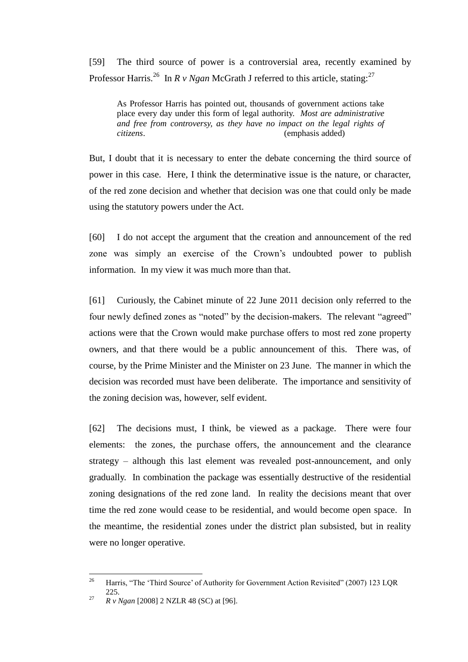[59] The third source of power is a controversial area, recently examined by Professor Harris.<sup>26</sup> In *R v Ngan* McGrath J referred to this article, stating:<sup>27</sup>

As Professor Harris has pointed out, thousands of government actions take place every day under this form of legal authority. *Most are administrative and free from controversy, as they have no impact on the legal rights of citizens*. (emphasis added)

But, I doubt that it is necessary to enter the debate concerning the third source of power in this case. Here, I think the determinative issue is the nature, or character, of the red zone decision and whether that decision was one that could only be made using the statutory powers under the Act.

[60] I do not accept the argument that the creation and announcement of the red zone was simply an exercise of the Crown's undoubted power to publish information. In my view it was much more than that.

[61] Curiously, the Cabinet minute of 22 June 2011 decision only referred to the four newly defined zones as "noted" by the decision-makers. The relevant "agreed" actions were that the Crown would make purchase offers to most red zone property owners, and that there would be a public announcement of this. There was, of course, by the Prime Minister and the Minister on 23 June. The manner in which the decision was recorded must have been deliberate. The importance and sensitivity of the zoning decision was, however, self evident.

[62] The decisions must, I think, be viewed as a package. There were four elements: the zones, the purchase offers, the announcement and the clearance strategy – although this last element was revealed post-announcement, and only gradually. In combination the package was essentially destructive of the residential zoning designations of the red zone land. In reality the decisions meant that over time the red zone would cease to be residential, and would become open space. In the meantime, the residential zones under the district plan subsisted, but in reality were no longer operative.

<sup>26</sup> <sup>26</sup> Harris, "The 'Third Source' of Authority for Government Action Revisited" (2007) 123 LQR 225.

<sup>27</sup> *R v Ngan* [2008] 2 NZLR 48 (SC) at [96].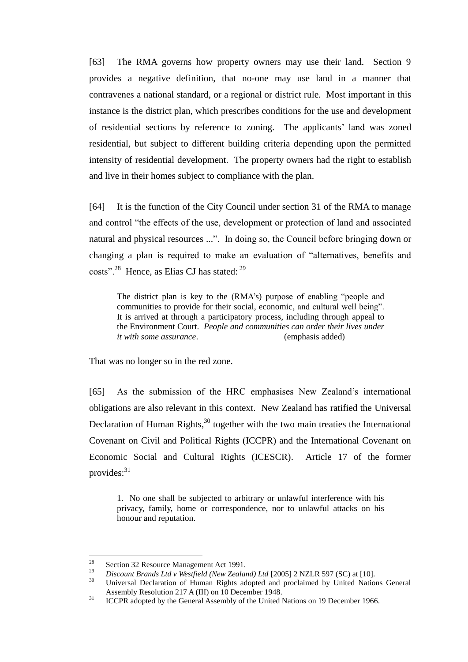[63] The RMA governs how property owners may use their land. Section 9 provides a negative definition, that no-one may use land in a manner that contravenes a national standard, or a regional or district rule. Most important in this instance is the district plan, which prescribes conditions for the use and development of residential sections by reference to zoning. The applicants' land was zoned residential, but subject to different building criteria depending upon the permitted intensity of residential development. The property owners had the right to establish and live in their homes subject to compliance with the plan.

[64] It is the function of the City Council under section 31 of the RMA to manage and control "the effects of the use, development or protection of land and associated natural and physical resources ...". In doing so, the Council before bringing down or changing a plan is required to make an evaluation of "alternatives, benefits and costs".<sup>28</sup> Hence, as Elias CJ has stated: <sup>29</sup>

The district plan is key to the (RMA's) purpose of enabling "people and communities to provide for their social, economic, and cultural well being". It is arrived at through a participatory process, including through appeal to the Environment Court. *People and communities can order their lives under it with some assurance*. (emphasis added)

That was no longer so in the red zone.

[65] As the submission of the HRC emphasises New Zealand's international obligations are also relevant in this context. New Zealand has ratified the Universal Declaration of Human Rights,<sup>30</sup> together with the two main treaties the International Covenant on Civil and Political Rights (ICCPR) and the International Covenant on Economic Social and Cultural Rights (ICESCR). Article 17 of the former provides:<sup>31</sup>

1. No one shall be subjected to arbitrary or unlawful interference with his privacy, family, home or correspondence, nor to unlawful attacks on his honour and reputation.

<sup>28</sup> <sup>28</sup> Section 32 Resource Management Act 1991.

<sup>&</sup>lt;sup>29</sup> *Discount Brands Ltd v Westfield (New Zealand) Ltd* [2005] 2 NZLR 597 (SC) at [10].

<sup>30</sup> Universal Declaration of Human Rights adopted and proclaimed by United Nations General Assembly Resolution 217 A (III) on 10 December 1948.

<sup>&</sup>lt;sup>31</sup> ICCPR adopted by the General Assembly of the United Nations on 19 December 1966.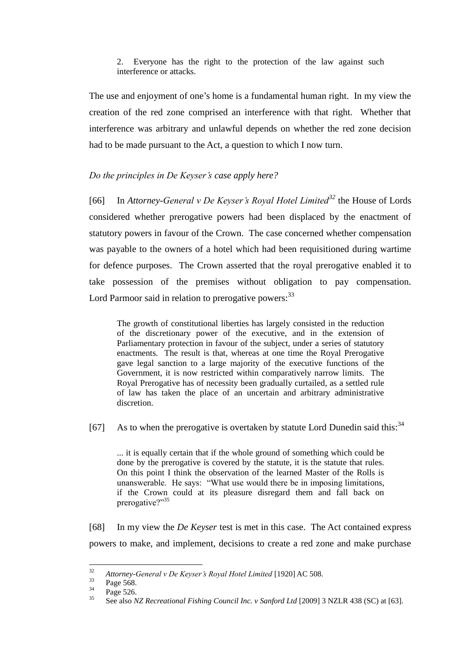#### 2. Everyone has the right to the protection of the law against such interference or attacks.

The use and enjoyment of one's home is a fundamental human right. In my view the creation of the red zone comprised an interference with that right. Whether that interference was arbitrary and unlawful depends on whether the red zone decision had to be made pursuant to the Act, a question to which I now turn.

## <span id="page-22-0"></span>*Do the principles in De Keyser's case apply here?*

[66] In *Attorney-General v De Keyser's Royal Hotel Limited<sup>32</sup>* the House of Lords considered whether prerogative powers had been displaced by the enactment of statutory powers in favour of the Crown. The case concerned whether compensation was payable to the owners of a hotel which had been requisitioned during wartime for defence purposes. The Crown asserted that the royal prerogative enabled it to take possession of the premises without obligation to pay compensation. Lord Parmoor said in relation to prerogative powers:<sup>33</sup>

The growth of constitutional liberties has largely consisted in the reduction of the discretionary power of the executive, and in the extension of Parliamentary protection in favour of the subject, under a series of statutory enactments. The result is that, whereas at one time the Royal Prerogative gave legal sanction to a large majority of the executive functions of the Government, it is now restricted within comparatively narrow limits. The Royal Prerogative has of necessity been gradually curtailed, as a settled rule of law has taken the place of an uncertain and arbitrary administrative discretion.

[67] As to when the prerogative is overtaken by statute Lord Dunedin said this: $34$ 

... it is equally certain that if the whole ground of something which could be done by the prerogative is covered by the statute, it is the statute that rules. On this point I think the observation of the learned Master of the Rolls is unanswerable. He says: "What use would there be in imposing limitations, if the Crown could at its pleasure disregard them and fall back on prerogative?"<sup>35</sup>

[68] In my view the *De Keyser* test is met in this case. The Act contained express powers to make, and implement, decisions to create a red zone and make purchase

<sup>32</sup> <sup>32</sup> *Attorney-General v De Keyser's Royal Hotel Limited* [1920] AC 508.<br><sup>33</sup> Pega 568

 $\frac{33}{34}$  Page 568.

 $^{34}$  Page 526.

<sup>35</sup> See also *NZ Recreational Fishing Council Inc. v Sanford Ltd* [2009] 3 NZLR 438 (SC) at [63].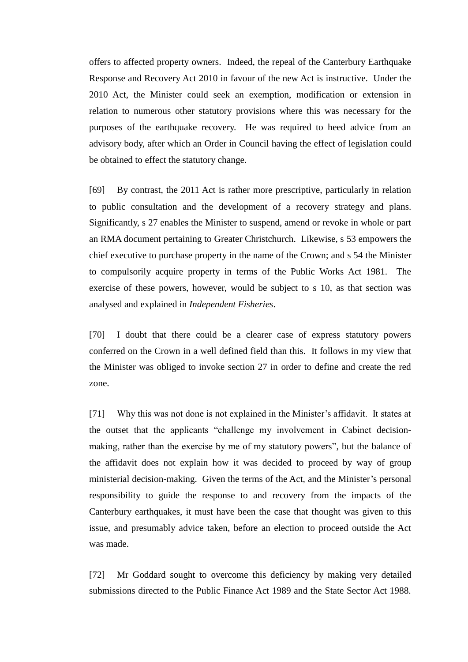offers to affected property owners. Indeed, the repeal of the Canterbury Earthquake Response and Recovery Act 2010 in favour of the new Act is instructive. Under the 2010 Act, the Minister could seek an exemption, modification or extension in relation to numerous other statutory provisions where this was necessary for the purposes of the earthquake recovery. He was required to heed advice from an advisory body, after which an Order in Council having the effect of legislation could be obtained to effect the statutory change.

[69] By contrast, the 2011 Act is rather more prescriptive, particularly in relation to public consultation and the development of a recovery strategy and plans. Significantly, s 27 enables the Minister to suspend, amend or revoke in whole or part an RMA document pertaining to Greater Christchurch. Likewise, s 53 empowers the chief executive to purchase property in the name of the Crown; and s 54 the Minister to compulsorily acquire property in terms of the Public Works Act 1981. The exercise of these powers, however, would be subject to s 10, as that section was analysed and explained in *Independent Fisheries*.

[70] I doubt that there could be a clearer case of express statutory powers conferred on the Crown in a well defined field than this. It follows in my view that the Minister was obliged to invoke section 27 in order to define and create the red zone.

[71] Why this was not done is not explained in the Minister's affidavit. It states at the outset that the applicants "challenge my involvement in Cabinet decisionmaking, rather than the exercise by me of my statutory powers", but the balance of the affidavit does not explain how it was decided to proceed by way of group ministerial decision-making. Given the terms of the Act, and the Minister's personal responsibility to guide the response to and recovery from the impacts of the Canterbury earthquakes, it must have been the case that thought was given to this issue, and presumably advice taken, before an election to proceed outside the Act was made.

[72] Mr Goddard sought to overcome this deficiency by making very detailed submissions directed to the Public Finance Act 1989 and the State Sector Act 1988.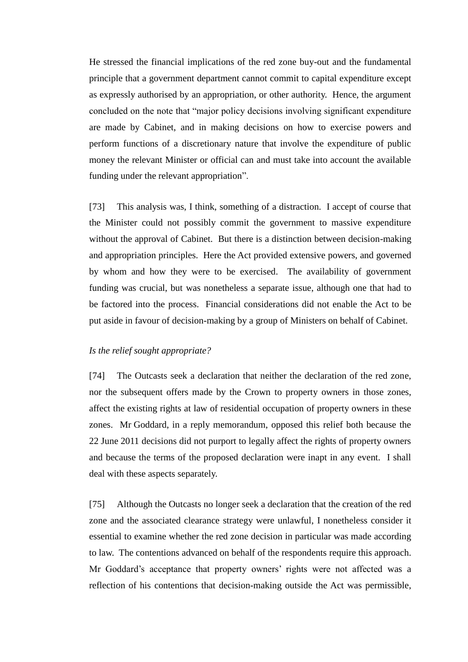He stressed the financial implications of the red zone buy-out and the fundamental principle that a government department cannot commit to capital expenditure except as expressly authorised by an appropriation, or other authority. Hence, the argument concluded on the note that "major policy decisions involving significant expenditure are made by Cabinet, and in making decisions on how to exercise powers and perform functions of a discretionary nature that involve the expenditure of public money the relevant Minister or official can and must take into account the available funding under the relevant appropriation".

[73] This analysis was, I think, something of a distraction. I accept of course that the Minister could not possibly commit the government to massive expenditure without the approval of Cabinet. But there is a distinction between decision-making and appropriation principles. Here the Act provided extensive powers, and governed by whom and how they were to be exercised. The availability of government funding was crucial, but was nonetheless a separate issue, although one that had to be factored into the process. Financial considerations did not enable the Act to be put aside in favour of decision-making by a group of Ministers on behalf of Cabinet.

#### <span id="page-24-0"></span>*Is the relief sought appropriate?*

[74] The Outcasts seek a declaration that neither the declaration of the red zone, nor the subsequent offers made by the Crown to property owners in those zones, affect the existing rights at law of residential occupation of property owners in these zones. Mr Goddard, in a reply memorandum, opposed this relief both because the 22 June 2011 decisions did not purport to legally affect the rights of property owners and because the terms of the proposed declaration were inapt in any event. I shall deal with these aspects separately.

[75] Although the Outcasts no longer seek a declaration that the creation of the red zone and the associated clearance strategy were unlawful, I nonetheless consider it essential to examine whether the red zone decision in particular was made according to law. The contentions advanced on behalf of the respondents require this approach. Mr Goddard's acceptance that property owners' rights were not affected was a reflection of his contentions that decision-making outside the Act was permissible,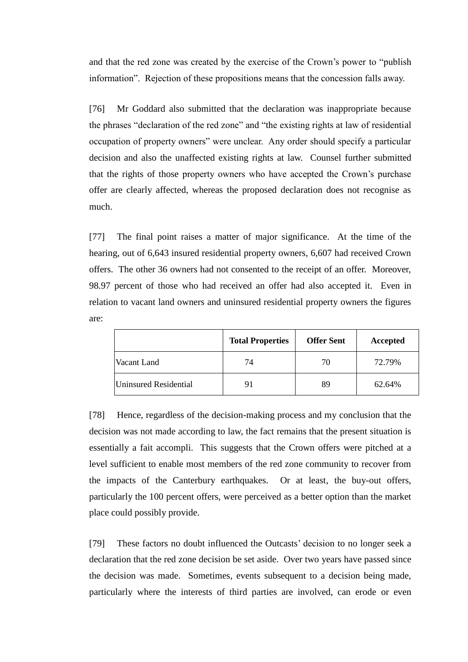and that the red zone was created by the exercise of the Crown's power to "publish information". Rejection of these propositions means that the concession falls away.

[76] Mr Goddard also submitted that the declaration was inappropriate because the phrases "declaration of the red zone" and "the existing rights at law of residential occupation of property owners" were unclear. Any order should specify a particular decision and also the unaffected existing rights at law. Counsel further submitted that the rights of those property owners who have accepted the Crown's purchase offer are clearly affected, whereas the proposed declaration does not recognise as much.

[77] The final point raises a matter of major significance. At the time of the hearing, out of 6,643 insured residential property owners, 6,607 had received Crown offers. The other 36 owners had not consented to the receipt of an offer. Moreover, 98.97 percent of those who had received an offer had also accepted it. Even in relation to vacant land owners and uninsured residential property owners the figures are:

|                       | <b>Total Properties</b> | <b>Offer Sent</b> | Accepted |
|-----------------------|-------------------------|-------------------|----------|
| Vacant Land           | 74                      | 70                | 72.79%   |
| Uninsured Residential | 91                      | 89                | 62.64%   |

[78] Hence, regardless of the decision-making process and my conclusion that the decision was not made according to law, the fact remains that the present situation is essentially a fait accompli. This suggests that the Crown offers were pitched at a level sufficient to enable most members of the red zone community to recover from the impacts of the Canterbury earthquakes. Or at least, the buy-out offers, particularly the 100 percent offers, were perceived as a better option than the market place could possibly provide.

[79] These factors no doubt influenced the Outcasts' decision to no longer seek a declaration that the red zone decision be set aside. Over two years have passed since the decision was made. Sometimes, events subsequent to a decision being made, particularly where the interests of third parties are involved, can erode or even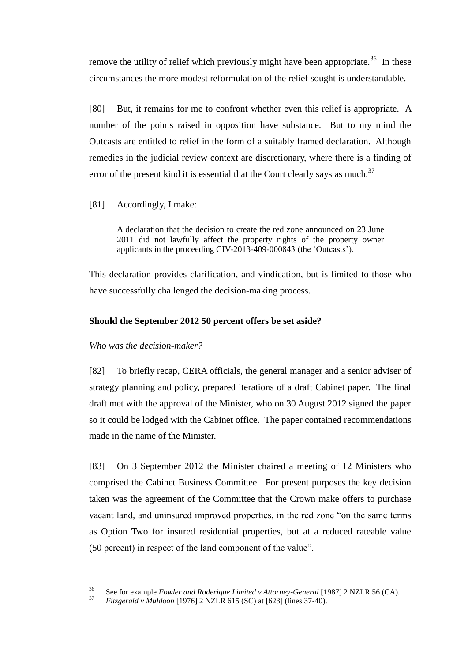remove the utility of relief which previously might have been appropriate.<sup>36</sup> In these circumstances the more modest reformulation of the relief sought is understandable.

[80] But, it remains for me to confront whether even this relief is appropriate. A number of the points raised in opposition have substance. But to my mind the Outcasts are entitled to relief in the form of a suitably framed declaration. Although remedies in the judicial review context are discretionary, where there is a finding of error of the present kind it is essential that the Court clearly says as much.<sup>37</sup>

[81] Accordingly, I make:

A declaration that the decision to create the red zone announced on 23 June 2011 did not lawfully affect the property rights of the property owner applicants in the proceeding CIV-2013-409-000843 (the 'Outcasts').

This declaration provides clarification, and vindication, but is limited to those who have successfully challenged the decision-making process.

## <span id="page-26-0"></span>**Should the September 2012 50 percent offers be set aside?**

## <span id="page-26-1"></span>*Who was the decision-maker?*

[82] To briefly recap, CERA officials, the general manager and a senior adviser of strategy planning and policy, prepared iterations of a draft Cabinet paper. The final draft met with the approval of the Minister, who on 30 August 2012 signed the paper so it could be lodged with the Cabinet office. The paper contained recommendations made in the name of the Minister.

[83] On 3 September 2012 the Minister chaired a meeting of 12 Ministers who comprised the Cabinet Business Committee. For present purposes the key decision taken was the agreement of the Committee that the Crown make offers to purchase vacant land, and uninsured improved properties, in the red zone "on the same terms as Option Two for insured residential properties, but at a reduced rateable value (50 percent) in respect of the land component of the value".

<sup>36</sup> <sup>36</sup> See for example *Fowler and Roderique Limited v Attorney-General* [1987] 2 NZLR 56 (CA).

<sup>37</sup> *Fitzgerald v Muldoon* [1976] 2 NZLR 615 (SC) at [623] (lines 37-40).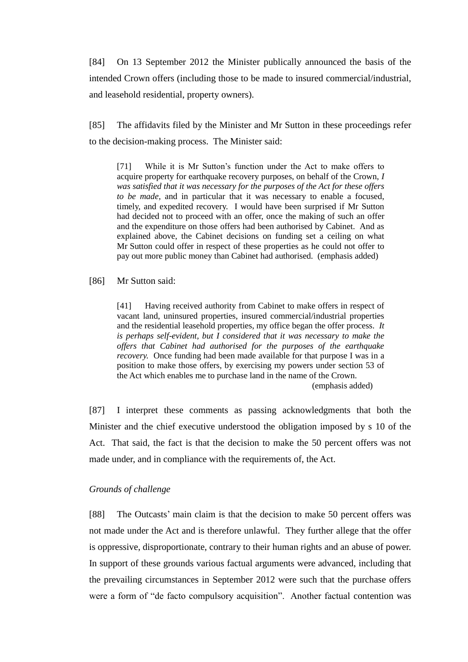[84] On 13 September 2012 the Minister publically announced the basis of the intended Crown offers (including those to be made to insured commercial/industrial, and leasehold residential, property owners).

[85] The affidavits filed by the Minister and Mr Sutton in these proceedings refer to the decision-making process. The Minister said:

[71] While it is Mr Sutton's function under the Act to make offers to acquire property for earthquake recovery purposes, on behalf of the Crown, *I was satisfied that it was necessary for the purposes of the Act for these offers to be made,* and in particular that it was necessary to enable a focused, timely, and expedited recovery. I would have been surprised if Mr Sutton had decided not to proceed with an offer, once the making of such an offer and the expenditure on those offers had been authorised by Cabinet. And as explained above, the Cabinet decisions on funding set a ceiling on what Mr Sutton could offer in respect of these properties as he could not offer to pay out more public money than Cabinet had authorised. (emphasis added)

#### [86] Mr Sutton said:

[41] Having received authority from Cabinet to make offers in respect of vacant land, uninsured properties, insured commercial/industrial properties and the residential leasehold properties, my office began the offer process. *It is perhaps self-evident, but I considered that it was necessary to make the offers that Cabinet had authorised for the purposes of the earthquake recovery.* Once funding had been made available for that purpose I was in a position to make those offers, by exercising my powers under section 53 of the Act which enables me to purchase land in the name of the Crown.

(emphasis added)

[87] I interpret these comments as passing acknowledgments that both the Minister and the chief executive understood the obligation imposed by s 10 of the Act. That said, the fact is that the decision to make the 50 percent offers was not made under, and in compliance with the requirements of, the Act.

#### <span id="page-27-0"></span>*Grounds of challenge*

[88] The Outcasts' main claim is that the decision to make 50 percent offers was not made under the Act and is therefore unlawful. They further allege that the offer is oppressive, disproportionate, contrary to their human rights and an abuse of power. In support of these grounds various factual arguments were advanced, including that the prevailing circumstances in September 2012 were such that the purchase offers were a form of "de facto compulsory acquisition". Another factual contention was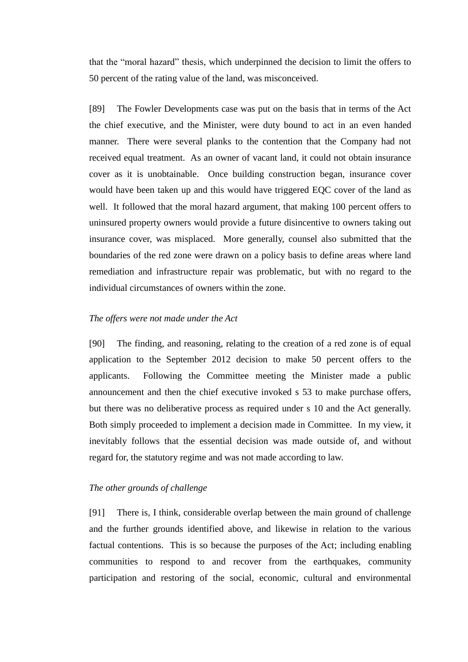that the "moral hazard" thesis, which underpinned the decision to limit the offers to 50 percent of the rating value of the land, was misconceived.

[89] The Fowler Developments case was put on the basis that in terms of the Act the chief executive, and the Minister, were duty bound to act in an even handed manner. There were several planks to the contention that the Company had not received equal treatment. As an owner of vacant land, it could not obtain insurance cover as it is unobtainable. Once building construction began, insurance cover would have been taken up and this would have triggered EQC cover of the land as well. It followed that the moral hazard argument, that making 100 percent offers to uninsured property owners would provide a future disincentive to owners taking out insurance cover, was misplaced. More generally, counsel also submitted that the boundaries of the red zone were drawn on a policy basis to define areas where land remediation and infrastructure repair was problematic, but with no regard to the individual circumstances of owners within the zone.

#### <span id="page-28-0"></span>*The offers were not made under the Act*

[90] The finding, and reasoning, relating to the creation of a red zone is of equal application to the September 2012 decision to make 50 percent offers to the applicants. Following the Committee meeting the Minister made a public announcement and then the chief executive invoked s 53 to make purchase offers, but there was no deliberative process as required under s 10 and the Act generally. Both simply proceeded to implement a decision made in Committee. In my view, it inevitably follows that the essential decision was made outside of, and without regard for, the statutory regime and was not made according to law.

#### <span id="page-28-1"></span>*The other grounds of challenge*

[91] There is, I think, considerable overlap between the main ground of challenge and the further grounds identified above, and likewise in relation to the various factual contentions. This is so because the purposes of the Act; including enabling communities to respond to and recover from the earthquakes, community participation and restoring of the social, economic, cultural and environmental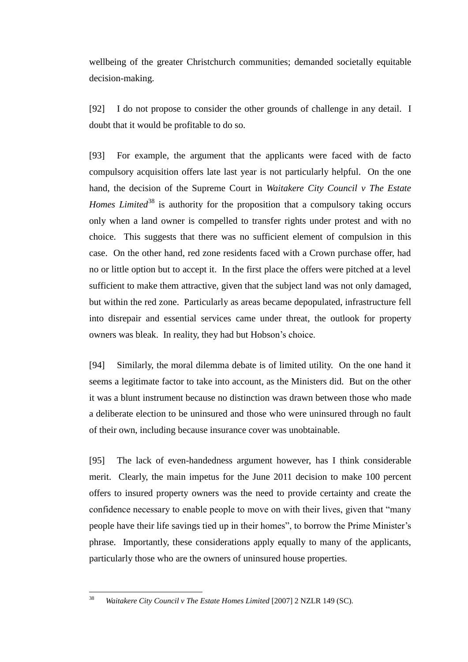wellbeing of the greater Christchurch communities; demanded societally equitable decision-making.

[92] I do not propose to consider the other grounds of challenge in any detail. I doubt that it would be profitable to do so.

[93] For example, the argument that the applicants were faced with de facto compulsory acquisition offers late last year is not particularly helpful. On the one hand, the decision of the Supreme Court in *Waitakere City Council v The Estate Homes Limited*<sup>38</sup> is authority for the proposition that a compulsory taking occurs only when a land owner is compelled to transfer rights under protest and with no choice. This suggests that there was no sufficient element of compulsion in this case. On the other hand, red zone residents faced with a Crown purchase offer, had no or little option but to accept it. In the first place the offers were pitched at a level sufficient to make them attractive, given that the subject land was not only damaged, but within the red zone. Particularly as areas became depopulated, infrastructure fell into disrepair and essential services came under threat, the outlook for property owners was bleak. In reality, they had but Hobson's choice.

[94] Similarly, the moral dilemma debate is of limited utility. On the one hand it seems a legitimate factor to take into account, as the Ministers did. But on the other it was a blunt instrument because no distinction was drawn between those who made a deliberate election to be uninsured and those who were uninsured through no fault of their own, including because insurance cover was unobtainable.

[95] The lack of even-handedness argument however, has I think considerable merit. Clearly, the main impetus for the June 2011 decision to make 100 percent offers to insured property owners was the need to provide certainty and create the confidence necessary to enable people to move on with their lives, given that "many people have their life savings tied up in their homes", to borrow the Prime Minister's phrase. Importantly, these considerations apply equally to many of the applicants, particularly those who are the owners of uninsured house properties.

<sup>38</sup> <sup>38</sup> *Waitakere City Council v The Estate Homes Limited* [2007] 2 NZLR 149 (SC).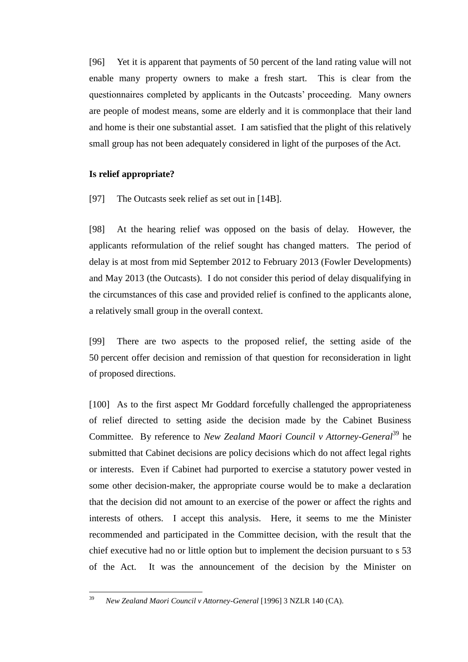[96] Yet it is apparent that payments of 50 percent of the land rating value will not enable many property owners to make a fresh start. This is clear from the questionnaires completed by applicants in the Outcasts' proceeding. Many owners are people of modest means, some are elderly and it is commonplace that their land and home is their one substantial asset. I am satisfied that the plight of this relatively small group has not been adequately considered in light of the purposes of the Act.

## <span id="page-30-0"></span>**Is relief appropriate?**

[97] The Outcasts seek relief as set out in [14B].

[98] At the hearing relief was opposed on the basis of delay. However, the applicants reformulation of the relief sought has changed matters. The period of delay is at most from mid September 2012 to February 2013 (Fowler Developments) and May 2013 (the Outcasts). I do not consider this period of delay disqualifying in the circumstances of this case and provided relief is confined to the applicants alone, a relatively small group in the overall context.

[99] There are two aspects to the proposed relief, the setting aside of the 50 percent offer decision and remission of that question for reconsideration in light of proposed directions.

[100] As to the first aspect Mr Goddard forcefully challenged the appropriateness of relief directed to setting aside the decision made by the Cabinet Business Committee. By reference to *New Zealand Maori Council v Attorney-General*<sup>39</sup> he submitted that Cabinet decisions are policy decisions which do not affect legal rights or interests. Even if Cabinet had purported to exercise a statutory power vested in some other decision-maker, the appropriate course would be to make a declaration that the decision did not amount to an exercise of the power or affect the rights and interests of others. I accept this analysis. Here, it seems to me the Minister recommended and participated in the Committee decision, with the result that the chief executive had no or little option but to implement the decision pursuant to s 53 of the Act. It was the announcement of the decision by the Minister on

<sup>39</sup> <sup>39</sup> *New Zealand Maori Council v Attorney-General* [1996] 3 NZLR 140 (CA).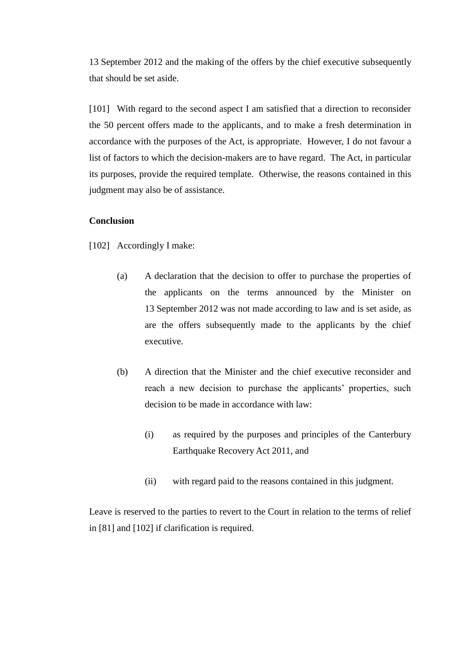13 September 2012 and the making of the offers by the chief executive subsequently that should be set aside.

[101] With regard to the second aspect I am satisfied that a direction to reconsider the 50 percent offers made to the applicants, and to make a fresh determination in accordance with the purposes of the Act, is appropriate. However, I do not favour a list of factors to which the decision-makers are to have regard. The Act, in particular its purposes, provide the required template. Otherwise, the reasons contained in this judgment may also be of assistance.

## <span id="page-31-0"></span>**Conclusion**

[102] Accordingly I make:

- (a) A declaration that the decision to offer to purchase the properties of the applicants on the terms announced by the Minister on 13 September 2012 was not made according to law and is set aside, as are the offers subsequently made to the applicants by the chief executive.
- (b) A direction that the Minister and the chief executive reconsider and reach a new decision to purchase the applicants' properties, such decision to be made in accordance with law:
	- (i) as required by the purposes and principles of the Canterbury Earthquake Recovery Act 2011, and
	- (ii) with regard paid to the reasons contained in this judgment.

Leave is reserved to the parties to revert to the Court in relation to the terms of relief in [81] and [102] if clarification is required.